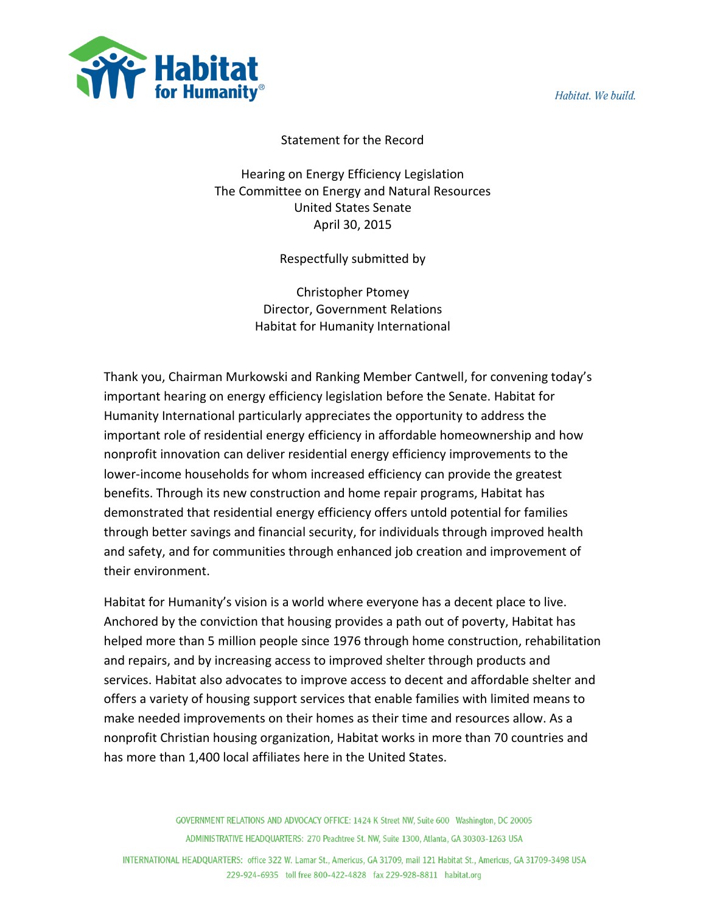Habitat, We build.



## Statement for the Record

Hearing on Energy Efficiency Legislation The Committee on Energy and Natural Resources United States Senate April 30, 2015

Respectfully submitted by

Christopher Ptomey Director, Government Relations Habitat for Humanity International

Thank you, Chairman Murkowski and Ranking Member Cantwell, for convening today's important hearing on energy efficiency legislation before the Senate. Habitat for Humanity International particularly appreciates the opportunity to address the important role of residential energy efficiency in affordable homeownership and how nonprofit innovation can deliver residential energy efficiency improvements to the lower-income households for whom increased efficiency can provide the greatest benefits. Through its new construction and home repair programs, Habitat has demonstrated that residential energy efficiency offers untold potential for families through better savings and financial security, for individuals through improved health and safety, and for communities through enhanced job creation and improvement of their environment.

Habitat for Humanity's vision is a world where everyone has a decent place to live. Anchored by the conviction that housing provides a path out of poverty, Habitat has helped more than 5 million people since 1976 through home construction, rehabilitation and repairs, and by increasing access to improved shelter through products and services. Habitat also advocates to improve access to decent and affordable shelter and offers a variety of housing support services that enable families with limited means to make needed improvements on their homes as their time and resources allow. As a nonprofit Christian housing organization, Habitat works in more than 70 countries and has more than 1,400 local affiliates here in the United States.

> GOVERNMENT RELATIONS AND ADVOCACY OFFICE: 1424 K Street NW, Suite 600 Washington, DC 20005 ADMINISTRATIVE HEADQUARTERS: 270 Peachtree St. NW, Suite 1300, Atlanta, GA 30303-1263 USA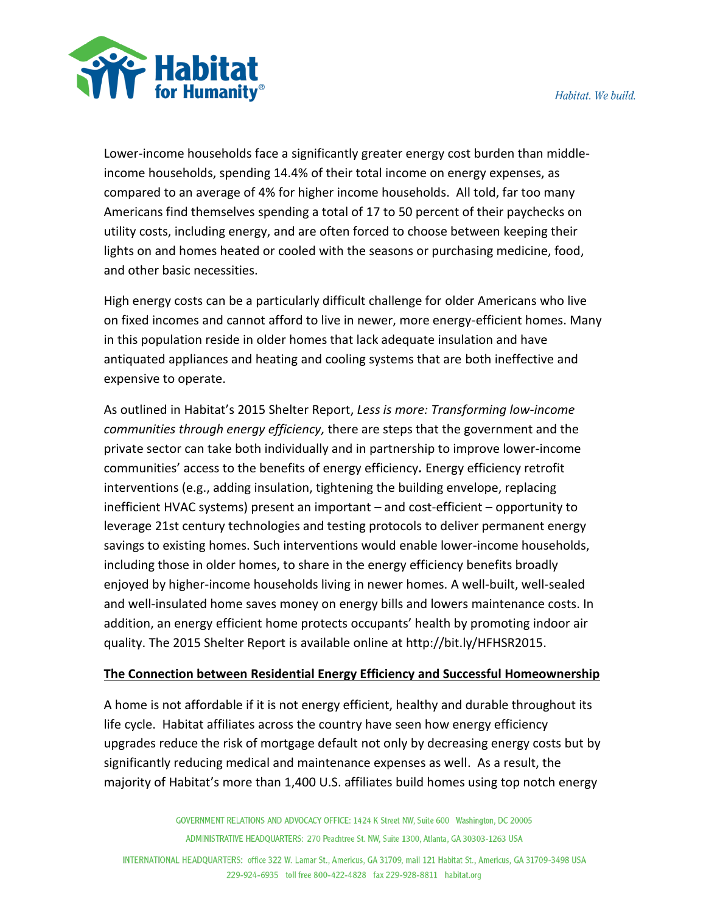

Lower-income households face a significantly greater energy cost burden than middleincome households, spending 14.4% of their total income on energy expenses, as compared to an average of 4% for higher income households. All told, far too many Americans find themselves spending a total of 17 to 50 percent of their paychecks on utility costs, including energy, and are often forced to choose between keeping their lights on and homes heated or cooled with the seasons or purchasing medicine, food, and other basic necessities.

High energy costs can be a particularly difficult challenge for older Americans who live on fixed incomes and cannot afford to live in newer, more energy-efficient homes. Many in this population reside in older homes that lack adequate insulation and have antiquated appliances and heating and cooling systems that are both ineffective and expensive to operate.

As outlined in Habitat's 2015 Shelter Report, *Less is more: Transforming low-income communities through energy efficiency,* there are steps that the government and the private sector can take both individually and in partnership to improve lower-income communities' access to the benefits of energy efficiency*.* Energy efficiency retrofit interventions (e.g., adding insulation, tightening the building envelope, replacing inefficient HVAC systems) present an important – and cost-efficient – opportunity to leverage 21st century technologies and testing protocols to deliver permanent energy savings to existing homes. Such interventions would enable lower-income households, including those in older homes, to share in the energy efficiency benefits broadly enjoyed by higher-income households living in newer homes. A well-built, well-sealed and well-insulated home saves money on energy bills and lowers maintenance costs. In addition, an energy efficient home protects occupants' health by promoting indoor air quality. The 2015 Shelter Report is available online at http://bit.ly/HFHSR2015.

## **The Connection between Residential Energy Efficiency and Successful Homeownership**

A home is not affordable if it is not energy efficient, healthy and durable throughout its life cycle. Habitat affiliates across the country have seen how energy efficiency upgrades reduce the risk of mortgage default not only by decreasing energy costs but by significantly reducing medical and maintenance expenses as well. As a result, the majority of Habitat's more than 1,400 U.S. affiliates build homes using top notch energy

> GOVERNMENT RELATIONS AND ADVOCACY OFFICE: 1424 K Street NW, Suite 600 Washington, DC 20005 ADMINISTRATIVE HEADQUARTERS: 270 Peachtree St. NW, Suite 1300, Atlanta, GA 30303-1263 USA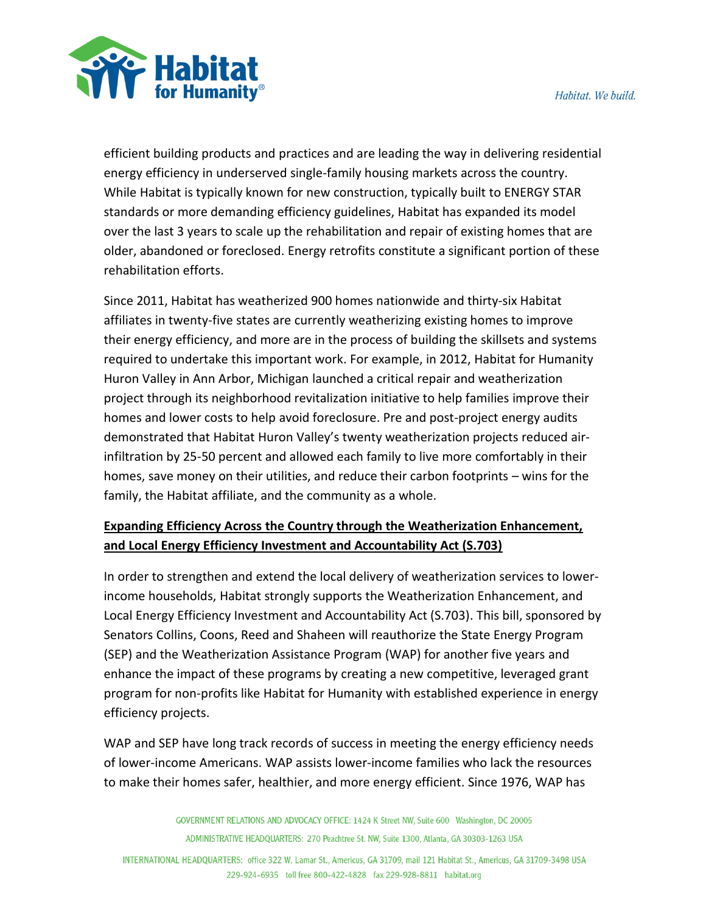

efficient building products and practices and are leading the way in delivering residential energy efficiency in underserved single-family housing markets across the country. While Habitat is typically known for new construction, typically built to ENERGY STAR standards or more demanding efficiency guidelines, Habitat has expanded its model over the last 3 years to scale up the rehabilitation and repair of existing homes that are older, abandoned or foreclosed. Energy retrofits constitute a significant portion of these rehabilitation efforts.

Since 2011, Habitat has weatherized 900 homes nationwide and thirty-six Habitat affiliates in twenty-five states are currently weatherizing existing homes to improve their energy efficiency, and more are in the process of building the skillsets and systems required to undertake this important work. For example, in 2012, Habitat for Humanity Huron Valley in Ann Arbor, Michigan launched a critical repair and weatherization project through its neighborhood revitalization initiative to help families improve their homes and lower costs to help avoid foreclosure. Pre and post-project energy audits demonstrated that Habitat Huron Valley's twenty weatherization projects reduced airinfiltration by 25-50 percent and allowed each family to live more comfortably in their homes, save money on their utilities, and reduce their carbon footprints – wins for the family, the Habitat affiliate, and the community as a whole.

## **Expanding Efficiency Across the Country through the Weatherization Enhancement, and Local Energy Efficiency Investment and Accountability Act (S.703)**

In order to strengthen and extend the local delivery of weatherization services to lowerincome households, Habitat strongly supports the Weatherization Enhancement, and Local Energy Efficiency Investment and Accountability Act (S.703). This bill, sponsored by Senators Collins, Coons, Reed and Shaheen will reauthorize the State Energy Program (SEP) and the Weatherization Assistance Program (WAP) for another five years and enhance the impact of these programs by creating a new competitive, leveraged grant program for non-profits like Habitat for Humanity with established experience in energy efficiency projects.

WAP and SEP have long track records of success in meeting the energy efficiency needs of lower-income Americans. WAP assists lower-income families who lack the resources to make their homes safer, healthier, and more energy efficient. Since 1976, WAP has

> GOVERNMENT RELATIONS AND ADVOCACY OFFICE: 1424 K Street NW, Suite 600 Washington, DC 20005 ADMINISTRATIVE HEADQUARTERS: 270 Peachtree St. NW, Suite 1300, Atlanta, GA 30303-1263 USA